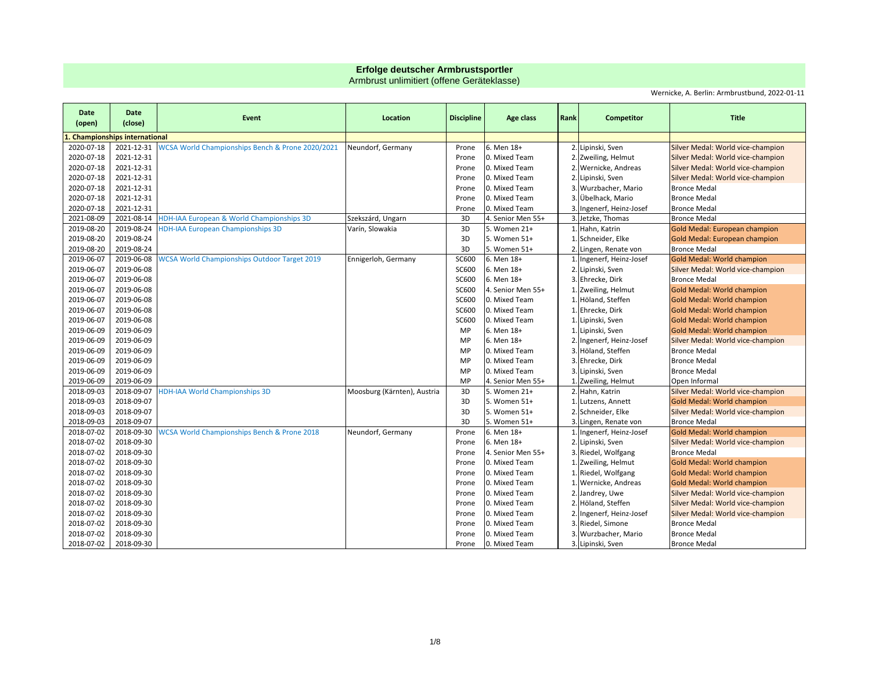## **Erfolge deutscher Armbrustsportler**

Armbrust unlimitiert (offene Geräteklasse)

Wernicke, A. Berlin: Armbrustbund, 2022-01-11

| Date<br>(open) | Date<br>(close)                    | Event                                                  | Location                    | <b>Discipline</b> | Age class         | Rank | <b>Competitor</b>        | <b>Title</b>                      |
|----------------|------------------------------------|--------------------------------------------------------|-----------------------------|-------------------|-------------------|------|--------------------------|-----------------------------------|
|                | <b>Championships international</b> |                                                        |                             |                   |                   |      |                          |                                   |
| 2020-07-18     | 2021-12-31                         | WCSA World Championships Bench & Prone 2020/2021       | Neundorf, Germany           | Prone             | 6. Men 18+        |      | 2. Lipinski, Sven        | Silver Medal: World vice-champion |
| 2020-07-18     | 2021-12-31                         |                                                        |                             | Prone             | 0. Mixed Team     |      | 2. Zweiling, Helmut      | Silver Medal: World vice-champion |
| 2020-07-18     | 2021-12-31                         |                                                        |                             | Prone             | 0. Mixed Team     |      | 2. Wernicke, Andreas     | Silver Medal: World vice-champion |
| 2020-07-18     | 2021-12-31                         |                                                        |                             | Prone             | 0. Mixed Team     |      | 2. Lipinski, Sven        | Silver Medal: World vice-champion |
| 2020-07-18     | 2021-12-31                         |                                                        |                             | Prone             | 0. Mixed Team     |      | 3. Wurzbacher, Mario     | <b>Bronce Medal</b>               |
| 2020-07-18     | 2021-12-31                         |                                                        |                             | Prone             | 0. Mixed Team     | 3    | Übelhack, Mario          | <b>Bronce Medal</b>               |
| 2020-07-18     | 2021-12-31                         |                                                        |                             | Prone             | 0. Mixed Team     | 3    | Ingenerf, Heinz-Josef    | <b>Bronce Medal</b>               |
| 2021-08-09     | 2021-08-14                         | HDH-IAA European & World Championships 3D              | Szekszárd, Ungarn           | 3D                | 4. Senior Men 55+ |      | 3. Jetzke, Thomas        | <b>Bronce Medal</b>               |
| 2019-08-20     | 2019-08-24                         | <b>HDH-IAA European Championships 3D</b>               | Varín, Slowakia             | 3D                | 5. Women 21+      |      | 1. Hahn, Katrin          | Gold Medal: European champion     |
| 2019-08-20     | 2019-08-24                         |                                                        |                             | 3D                | 5. Women 51+      |      | 1. Schneider, Elke       | Gold Medal: European champion     |
| 2019-08-20     | 2019-08-24                         |                                                        |                             | 3D                | 5. Women 51+      |      | Lingen, Renate von       | <b>Bronce Medal</b>               |
| 2019-06-07     | 2019-06-08                         | <b>WCSA World Championships Outdoor Target 2019</b>    | Ennigerloh, Germany         | <b>SC600</b>      | 6. Men 18+        |      | 1. Ingenerf, Heinz-Josef | Gold Medal: World champion        |
| 2019-06-07     | 2019-06-08                         |                                                        |                             | <b>SC600</b>      | 6. Men 18+        |      | 2. Lipinski, Sven        | Silver Medal: World vice-champion |
| 2019-06-07     | 2019-06-08                         |                                                        |                             | <b>SC600</b>      | 6. Men 18+        |      | 3. Ehrecke, Dirk         | <b>Bronce Medal</b>               |
| 2019-06-07     | 2019-06-08                         |                                                        |                             | SC600             | 4. Senior Men 55+ |      | 1. Zweiling, Helmut      | Gold Medal: World champion        |
| 2019-06-07     | 2019-06-08                         |                                                        |                             | <b>SC600</b>      | 0. Mixed Team     |      | 1. Höland, Steffen       | Gold Medal: World champion        |
| 2019-06-07     | 2019-06-08                         |                                                        |                             | <b>SC600</b>      | 0. Mixed Team     |      | 1. Ehrecke, Dirk         | Gold Medal: World champion        |
| 2019-06-07     | 2019-06-08                         |                                                        |                             | <b>SC600</b>      | 0. Mixed Team     |      | 1. Lipinski, Sven        | Gold Medal: World champion        |
| 2019-06-09     | 2019-06-09                         |                                                        |                             | MP                | 6. Men 18+        |      | Lipinski, Sven           | <b>Gold Medal: World champion</b> |
| 2019-06-09     | 2019-06-09                         |                                                        |                             | <b>MP</b>         | 6. Men 18+        |      | 2. Ingenerf, Heinz-Josef | Silver Medal: World vice-champion |
| 2019-06-09     | 2019-06-09                         |                                                        |                             | MP                | 0. Mixed Team     |      | 3. Höland, Steffen       | <b>Bronce Medal</b>               |
| 2019-06-09     | 2019-06-09                         |                                                        |                             | MP                | 0. Mixed Team     |      | Ehrecke, Dirk            | <b>Bronce Medal</b>               |
| 2019-06-09     | 2019-06-09                         |                                                        |                             | MP                | 0. Mixed Team     |      | 3. Lipinski, Sven        | <b>Bronce Medal</b>               |
| 2019-06-09     | 2019-06-09                         |                                                        |                             | MP                | 4. Senior Men 55+ |      | 1. Zweiling, Helmut      | Open Informal                     |
| 2018-09-03     | 2018-09-07                         | <b>HDH-IAA World Championships 3D</b>                  | Moosburg (Kärnten), Austria | 3D                | 5. Women 21+      |      | 2. Hahn, Katrin          | Silver Medal: World vice-champion |
| 2018-09-03     | 2018-09-07                         |                                                        |                             | 3D                | 5. Women 51+      |      | 1. Lutzens, Annett       | Gold Medal: World champion        |
| 2018-09-03     | 2018-09-07                         |                                                        |                             | 3D                | 5. Women 51+      |      | 2. Schneider, Elke       | Silver Medal: World vice-champion |
| 2018-09-03     | 2018-09-07                         |                                                        |                             | 3D                | 5. Women 51+      |      | 3. Lingen, Renate von    | <b>Bronce Medal</b>               |
| 2018-07-02     | 2018-09-30                         | <b>WCSA World Championships Bench &amp; Prone 2018</b> | Neundorf, Germany           | Prone             | 6. Men 18+        |      | 1. Ingenerf, Heinz-Josef | Gold Medal: World champion        |
| 2018-07-02     | 2018-09-30                         |                                                        |                             | Prone             | 6. Men 18+        |      | 2. Lipinski, Sven        | Silver Medal: World vice-champion |
| 2018-07-02     | 2018-09-30                         |                                                        |                             | Prone             | 4. Senior Men 55+ |      | 3. Riedel, Wolfgang      | <b>Bronce Medal</b>               |
| 2018-07-02     | 2018-09-30                         |                                                        |                             | Prone             | 0. Mixed Team     |      | 1. Zweiling, Helmut      | Gold Medal: World champion        |
| 2018-07-02     | 2018-09-30                         |                                                        |                             | Prone             | 0. Mixed Team     |      | 1. Riedel, Wolfgang      | Gold Medal: World champion        |
| 2018-07-02     | 2018-09-30                         |                                                        |                             | Prone             | 0. Mixed Team     |      | 1. Wernicke, Andreas     | <b>Gold Medal: World champion</b> |
| 2018-07-02     | 2018-09-30                         |                                                        |                             | Prone             | 0. Mixed Team     |      | 2. Jandrey, Uwe          | Silver Medal: World vice-champion |
| 2018-07-02     | 2018-09-30                         |                                                        |                             | Prone             | 0. Mixed Team     |      | Höland, Steffen          | Silver Medal: World vice-champion |
| 2018-07-02     | 2018-09-30                         |                                                        |                             | Prone             | 0. Mixed Team     |      | 2. Ingenerf, Heinz-Josef | Silver Medal: World vice-champion |
| 2018-07-02     | 2018-09-30                         |                                                        |                             | Prone             | 0. Mixed Team     |      | 3. Riedel, Simone        | <b>Bronce Medal</b>               |
| 2018-07-02     | 2018-09-30                         |                                                        |                             | Prone             | 0. Mixed Team     |      | Wurzbacher, Mario        | <b>Bronce Medal</b>               |
| 2018-07-02     | 2018-09-30                         |                                                        |                             | Prone             | 0. Mixed Team     |      | 3. Lipinski, Sven        | <b>Bronce Medal</b>               |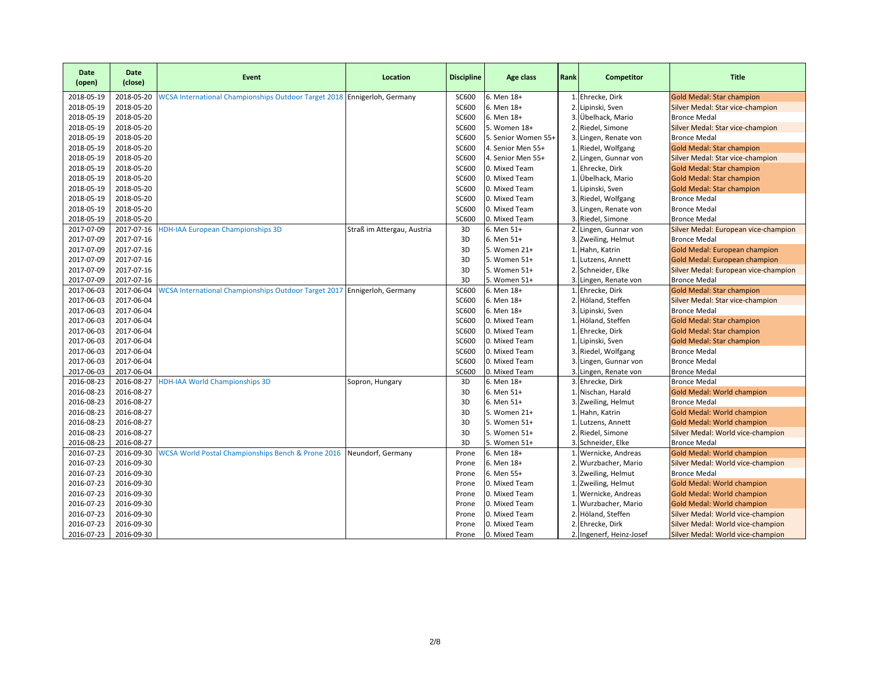| Date<br>(open)           | <b>Date</b><br>(close)   | Event                                                                    | Location                   | <b>Discipline</b> | Age class                      | Rank | Competitor                                  | <b>Title</b>                                                    |
|--------------------------|--------------------------|--------------------------------------------------------------------------|----------------------------|-------------------|--------------------------------|------|---------------------------------------------|-----------------------------------------------------------------|
| 2018-05-19               | 2018-05-20               | WCSA International Championships Outdoor Target 2018 Ennigerloh, Germany |                            | SC600             | 6. Men 18+                     |      | 1. Ehrecke, Dirk                            | <b>Gold Medal: Star champion</b>                                |
| 2018-05-19               | 2018-05-20               |                                                                          |                            | <b>SC600</b>      | 6. Men 18+                     |      | 2. Lipinski, Sven                           | Silver Medal: Star vice-champion                                |
| 2018-05-19               | 2018-05-20               |                                                                          |                            | SC600             | 6. Men 18+                     |      | 3. Übelhack, Mario                          | <b>Bronce Medal</b>                                             |
| 2018-05-19               | 2018-05-20               |                                                                          |                            | SC600             | 5. Women 18+                   |      | 2. Riedel, Simone                           | Silver Medal: Star vice-champion                                |
| 2018-05-19               | 2018-05-20               |                                                                          |                            | SC600             | 5. Senior Women 55+            |      | 3. Lingen, Renate von                       | <b>Bronce Medal</b>                                             |
| 2018-05-19               | 2018-05-20               |                                                                          |                            | SC600             | 4. Senior Men 55+              |      | 1. Riedel, Wolfgang                         | <b>Gold Medal: Star champion</b>                                |
| 2018-05-19               | 2018-05-20               |                                                                          |                            | SC600             | 4. Senior Men 55+              |      | 2. Lingen, Gunnar von                       | Silver Medal: Star vice-champion                                |
| 2018-05-19               | 2018-05-20               |                                                                          |                            | SC600             | 0. Mixed Team                  |      | 1. Ehrecke, Dirk                            | <b>Gold Medal: Star champion</b>                                |
| 2018-05-19               | 2018-05-20               |                                                                          |                            | <b>SC600</b>      | 0. Mixed Team                  |      | 1. Übelhack, Mario                          | <b>Gold Medal: Star champion</b>                                |
| 2018-05-19               | 2018-05-20               |                                                                          |                            | SC600             | 0. Mixed Team                  |      | 1. Lipinski, Sven                           | <b>Gold Medal: Star champion</b>                                |
| 2018-05-19               | 2018-05-20               |                                                                          |                            | <b>SC600</b>      | 0. Mixed Team                  |      | 3. Riedel, Wolfgang                         | <b>Bronce Medal</b>                                             |
| 2018-05-19               | 2018-05-20               |                                                                          |                            | <b>SC600</b>      | 0. Mixed Team                  |      | 3. Lingen, Renate von                       | <b>Bronce Medal</b>                                             |
| 2018-05-19               | 2018-05-20               |                                                                          |                            | <b>SC600</b>      | 0. Mixed Team                  |      | 3. Riedel, Simone                           | <b>Bronce Medal</b>                                             |
| 2017-07-09               | 2017-07-16               | <b>HDH-IAA European Championships 3D</b>                                 | Straß im Attergau, Austria | 3D                | 6. Men 51+                     |      | 2. Lingen, Gunnar von                       | Silver Medal: European vice-champion                            |
| 2017-07-09               | 2017-07-16               |                                                                          |                            | 3D                | 6. Men 51+                     |      | 3. Zweiling, Helmut                         | <b>Bronce Medal</b>                                             |
| 2017-07-09               | 2017-07-16               |                                                                          |                            | 3D                | 5. Women 21+                   |      | 1. Hahn, Katrin                             | Gold Medal: European champion                                   |
| 2017-07-09               | 2017-07-16               |                                                                          |                            | 3D                | 5. Women 51+                   |      | 1. Lutzens, Annett                          | <b>Gold Medal: European champion</b>                            |
| 2017-07-09               | 2017-07-16               |                                                                          |                            | 3D                | 5. Women 51+                   |      | 2. Schneider, Elke                          | Silver Medal: European vice-champion                            |
| 2017-07-09               | 2017-07-16               |                                                                          |                            | 3D                | 5. Women 51+                   |      | 3. Lingen, Renate von                       | <b>Bronce Medal</b>                                             |
| 2017-06-03               | 2017-06-04               | WCSA International Championships Outdoor Target 2017 Ennigerloh, Germany |                            | <b>SC600</b>      | 6. Men 18+                     |      | 1. Ehrecke, Dirk                            | <b>Gold Medal: Star champion</b>                                |
| 2017-06-03               | 2017-06-04               |                                                                          |                            | <b>SC600</b>      | 6. Men 18+                     |      | 2. Höland, Steffen                          | Silver Medal: Star vice-champion                                |
| 2017-06-03               | 2017-06-04               |                                                                          |                            | <b>SC600</b>      | 6. Men 18+                     |      | 3. Lipinski, Sven                           | <b>Bronce Medal</b>                                             |
| 2017-06-03               | 2017-06-04               |                                                                          |                            | <b>SC600</b>      | 0. Mixed Team                  |      | 1. Höland, Steffen                          | <b>Gold Medal: Star champion</b>                                |
| 2017-06-03               | 2017-06-04               |                                                                          |                            | <b>SC600</b>      | 0. Mixed Team                  |      | 1. Ehrecke, Dirk                            | <b>Gold Medal: Star champion</b>                                |
| 2017-06-03               | 2017-06-04               |                                                                          |                            | SC600             | 0. Mixed Team                  |      | 1. Lipinski, Sven                           | <b>Gold Medal: Star champion</b>                                |
| 2017-06-03               | 2017-06-04               |                                                                          |                            | SC600             | 0. Mixed Team                  |      | 3. Riedel, Wolfgang                         | <b>Bronce Medal</b>                                             |
| 2017-06-03               | 2017-06-04               |                                                                          |                            | <b>SC600</b>      | 0. Mixed Team                  |      | 3. Lingen, Gunnar von                       | <b>Bronce Medal</b>                                             |
| 2017-06-03               | 2017-06-04               |                                                                          |                            | SC600             | 0. Mixed Team                  |      | 3. Lingen, Renate von                       | <b>Bronce Medal</b>                                             |
| 2016-08-23               | 2016-08-27               | <b>HDH-IAA World Championships 3D</b>                                    | Sopron, Hungary            | 3D                | 6. Men 18+                     |      | 3. Ehrecke, Dirk                            | <b>Bronce Medal</b>                                             |
| 2016-08-23               | 2016-08-27               |                                                                          |                            | 3D                | 6. Men 51+                     |      | 1. Nischan, Harald                          | <b>Gold Medal: World champion</b>                               |
| 2016-08-23               | 2016-08-27               |                                                                          |                            | 3D                | 6. Men 51+                     |      | 3. Zweiling, Helmut                         | <b>Bronce Medal</b>                                             |
| 2016-08-23               | 2016-08-27               |                                                                          |                            | 3D                | 5. Women 21+                   |      | 1. Hahn, Katrin                             | Gold Medal: World champion                                      |
| 2016-08-23               | 2016-08-27               |                                                                          |                            | 3D                | 5. Women 51+                   |      | 1. Lutzens, Annett                          | <b>Gold Medal: World champion</b>                               |
| 2016-08-23               | 2016-08-27               |                                                                          |                            | 3D                | 5. Women 51+                   |      | 2. Riedel, Simone                           | Silver Medal: World vice-champion                               |
| 2016-08-23               | 2016-08-27               |                                                                          |                            | 3D                | 5. Women 51+                   |      | 3. Schneider, Elke                          | <b>Bronce Medal</b>                                             |
| 2016-07-23               | 2016-09-30               | WCSA World Postal Championships Bench & Prone 2016                       | Neundorf, Germany          | Prone             | 6. Men 18+                     |      | 1. Wernicke, Andreas                        | <b>Gold Medal: World champion</b>                               |
| 2016-07-23               | 2016-09-30               |                                                                          |                            | Prone             | 6. Men 18+                     |      | 2. Wurzbacher, Mario                        | Silver Medal: World vice-champion                               |
| 2016-07-23               | 2016-09-30               |                                                                          |                            | Prone             | 6. Men 55+                     |      | 3. Zweiling, Helmut                         | <b>Bronce Medal</b>                                             |
| 2016-07-23<br>2016-07-23 | 2016-09-30<br>2016-09-30 |                                                                          |                            | Prone<br>Prone    | 0. Mixed Team<br>0. Mixed Team |      | 1. Zweiling, Helmut<br>1. Wernicke, Andreas | Gold Medal: World champion                                      |
| 2016-07-23               | 2016-09-30               |                                                                          |                            | Prone             | 0. Mixed Team                  |      | 1. Wurzbacher, Mario                        | Gold Medal: World champion<br><b>Gold Medal: World champion</b> |
| 2016-07-23               | 2016-09-30               |                                                                          |                            | Prone             | 0. Mixed Team                  |      | 2. Höland, Steffen                          | Silver Medal: World vice-champion                               |
| 2016-07-23               | 2016-09-30               |                                                                          |                            | Prone             | 0. Mixed Team                  |      | 2. Ehrecke, Dirk                            | Silver Medal: World vice-champion                               |
| 2016-07-23               | 2016-09-30               |                                                                          |                            | Prone             | 0. Mixed Team                  |      | 2. Ingenerf, Heinz-Josef                    | Silver Medal: World vice-champion                               |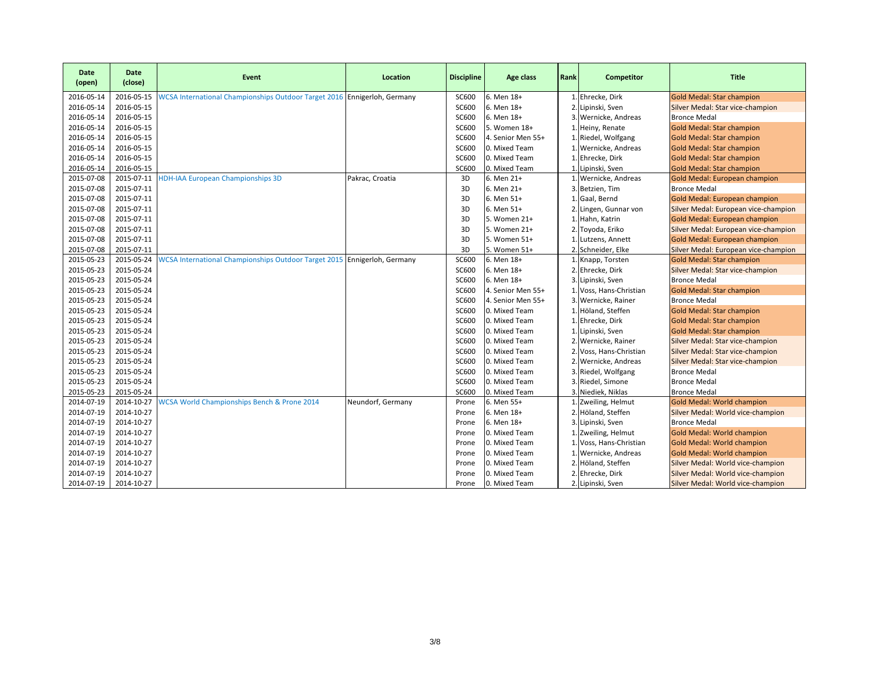| Date<br>(open) | <b>Date</b><br>(close) | Event                                                                    | Location          | <b>Discipline</b> | Age class         | Rank           | Competitor           | <b>Title</b>                         |
|----------------|------------------------|--------------------------------------------------------------------------|-------------------|-------------------|-------------------|----------------|----------------------|--------------------------------------|
| 2016-05-14     | 2016-05-15             | WCSA International Championships Outdoor Target 2016 Ennigerloh, Germany |                   | SC600             | 6. Men 18+        |                | 1. Ehrecke, Dirk     | <b>Gold Medal: Star champion</b>     |
| 2016-05-14     | 2016-05-15             |                                                                          |                   | SC600             | 6. Men 18+        | 2.             | Lipinski, Sven       | Silver Medal: Star vice-champion     |
| 2016-05-14     | 2016-05-15             |                                                                          |                   | SC600             | 6. Men 18+        | 3.             | Wernicke, Andreas    | <b>Bronce Medal</b>                  |
| 2016-05-14     | 2016-05-15             |                                                                          |                   | SC600             | 5. Women 18+      |                | Heiny, Renate        | <b>Gold Medal: Star champion</b>     |
| 2016-05-14     | 2016-05-15             |                                                                          |                   | SC600             | 4. Senior Men 55+ |                | Riedel, Wolfgang     | <b>Gold Medal: Star champion</b>     |
| 2016-05-14     | 2016-05-15             |                                                                          |                   | SC600             | 0. Mixed Team     |                | 1. Wernicke, Andreas | <b>Gold Medal: Star champion</b>     |
| 2016-05-14     | 2016-05-15             |                                                                          |                   | <b>SC600</b>      | 0. Mixed Team     |                | Ehrecke, Dirk        | <b>Gold Medal: Star champion</b>     |
| 2016-05-14     | 2016-05-15             |                                                                          |                   | <b>SC600</b>      | 0. Mixed Team     |                | Lipinski, Sven       | <b>Gold Medal: Star champion</b>     |
| 2015-07-08     | 2015-07-11             | <b>HDH-IAA European Championships 3D</b>                                 | Pakrac, Croatia   | 3D                | 6. Men 21+        |                | Wernicke, Andreas    | Gold Medal: European champion        |
| 2015-07-08     | 2015-07-11             |                                                                          |                   | 3D                | 6. Men 21+        | 3.             | Betzien, Tim         | <b>Bronce Medal</b>                  |
| 2015-07-08     | 2015-07-11             |                                                                          |                   | 3D                | 6. Men 51+        |                | Gaal, Bernd          | Gold Medal: European champion        |
| 2015-07-08     | 2015-07-11             |                                                                          |                   | 3D                | 6. Men 51+        | $\overline{2}$ | Lingen, Gunnar von   | Silver Medal: European vice-champion |
| 2015-07-08     | 2015-07-11             |                                                                          |                   | 3D                | 5. Women 21+      |                | Hahn, Katrin         | Gold Medal: European champion        |
| 2015-07-08     | 2015-07-11             |                                                                          |                   | 3D                | 5. Women 21+      |                | Toyoda, Eriko        | Silver Medal: European vice-champion |
| 2015-07-08     | 2015-07-11             |                                                                          |                   | 3D                | 5. Women 51+      |                | Lutzens, Annett      | Gold Medal: European champion        |
| 2015-07-08     | 2015-07-11             |                                                                          |                   | 3D                | 5. Women 51+      |                | 2. Schneider, Elke   | Silver Medal: European vice-champion |
| 2015-05-23     | 2015-05-24             | WCSA International Championships Outdoor Target 2015 Ennigerloh, Germany |                   | SC600             | 6. Men 18+        | $\mathbf{1}$ . | Knapp, Torsten       | <b>Gold Medal: Star champion</b>     |
| 2015-05-23     | 2015-05-24             |                                                                          |                   | <b>SC600</b>      | 6. Men 18+        | 2.             | Ehrecke, Dirk        | Silver Medal: Star vice-champion     |
| 2015-05-23     | 2015-05-24             |                                                                          |                   | SC600             | 6. Men 18+        | 3              | Lipinski, Sven       | <b>Bronce Medal</b>                  |
| 2015-05-23     | 2015-05-24             |                                                                          |                   | SC600             | 4. Senior Men 55+ |                | Voss, Hans-Christian | <b>Gold Medal: Star champion</b>     |
| 2015-05-23     | 2015-05-24             |                                                                          |                   | SC600             | 4. Senior Men 55+ | 3.             | Wernicke, Rainer     | <b>Bronce Medal</b>                  |
| 2015-05-23     | 2015-05-24             |                                                                          |                   | SC600             | 0. Mixed Team     |                | Höland, Steffen      | <b>Gold Medal: Star champion</b>     |
| 2015-05-23     | 2015-05-24             |                                                                          |                   | SC600             | 0. Mixed Team     |                | Ehrecke, Dirk        | <b>Gold Medal: Star champion</b>     |
| 2015-05-23     | 2015-05-24             |                                                                          |                   | SC600             | 0. Mixed Team     |                | Lipinski, Sven       | <b>Gold Medal: Star champion</b>     |
| 2015-05-23     | 2015-05-24             |                                                                          |                   | SC600             | 0. Mixed Team     | 2.             | Wernicke, Rainer     | Silver Medal: Star vice-champion     |
| 2015-05-23     | 2015-05-24             |                                                                          |                   | SC600             | 0. Mixed Team     | 2.             | Voss, Hans-Christian | Silver Medal: Star vice-champion     |
| 2015-05-23     | 2015-05-24             |                                                                          |                   | SC600             | 0. Mixed Team     | $\overline{2}$ | Wernicke, Andreas    | Silver Medal: Star vice-champion     |
| 2015-05-23     | 2015-05-24             |                                                                          |                   | SC600             | 0. Mixed Team     | 3              | Riedel, Wolfgang     | <b>Bronce Medal</b>                  |
| 2015-05-23     | 2015-05-24             |                                                                          |                   | <b>SC600</b>      | 0. Mixed Team     | 3.             | Riedel, Simone       | <b>Bronce Medal</b>                  |
| 2015-05-23     | 2015-05-24             |                                                                          |                   | SC600             | 0. Mixed Team     | 3.             | Niediek, Niklas      | <b>Bronce Medal</b>                  |
| 2014-07-19     | 2014-10-27             | WCSA World Championships Bench & Prone 2014                              | Neundorf, Germany | Prone             | 6. Men 55+        |                | 1. Zweiling, Helmut  | Gold Medal: World champion           |
| 2014-07-19     | 2014-10-27             |                                                                          |                   | Prone             | 6. Men 18+        | 2.             | Höland, Steffen      | Silver Medal: World vice-champion    |
| 2014-07-19     | 2014-10-27             |                                                                          |                   | Prone             | 6. Men 18+        |                | Lipinski, Sven       | <b>Bronce Medal</b>                  |
| 2014-07-19     | 2014-10-27             |                                                                          |                   | Prone             | 0. Mixed Team     |                | Zweiling, Helmut     | Gold Medal: World champion           |
| 2014-07-19     | 2014-10-27             |                                                                          |                   | Prone             | 0. Mixed Team     |                | Voss, Hans-Christian | Gold Medal: World champion           |
| 2014-07-19     | 2014-10-27             |                                                                          |                   | Prone             | 0. Mixed Team     |                | Wernicke, Andreas    | Gold Medal: World champion           |
| 2014-07-19     | 2014-10-27             |                                                                          |                   | Prone             | 0. Mixed Team     |                | Höland, Steffen      | Silver Medal: World vice-champion    |
| 2014-07-19     | 2014-10-27             |                                                                          |                   | Prone             | 0. Mixed Team     |                | Ehrecke, Dirk        | Silver Medal: World vice-champion    |
| 2014-07-19     | 2014-10-27             |                                                                          |                   | Prone             | 0. Mixed Team     | 2.             | Lipinski, Sven       | Silver Medal: World vice-champion    |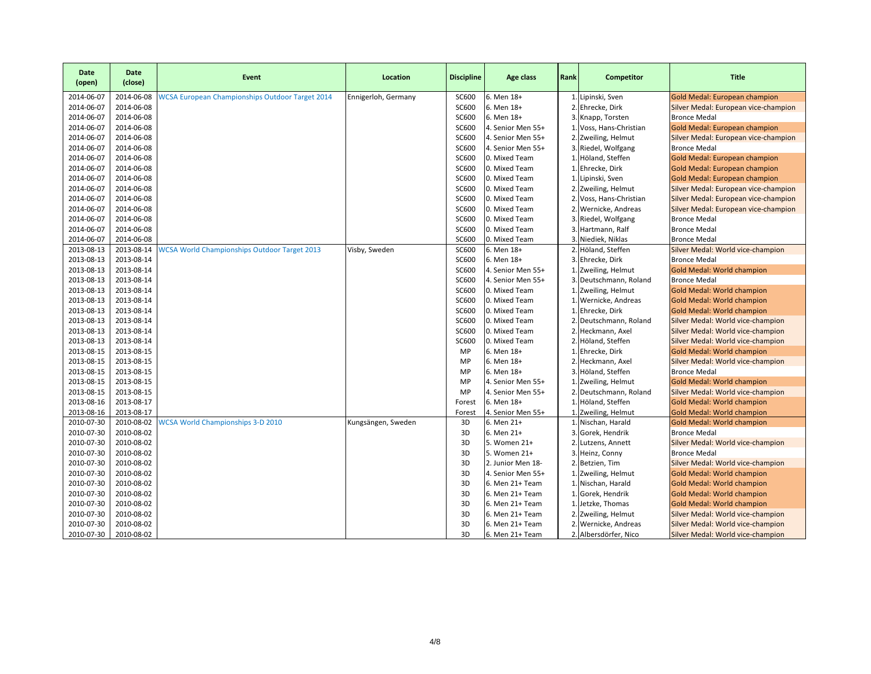| Date<br>(open) | <b>Date</b><br>(close) | Event                                                  | Location            | <b>Discipline</b> | Age class         | Rank           | Competitor            | <b>Title</b>                         |
|----------------|------------------------|--------------------------------------------------------|---------------------|-------------------|-------------------|----------------|-----------------------|--------------------------------------|
| 2014-06-07     | 2014-06-08             | <b>WCSA European Championships Outdoor Target 2014</b> | Ennigerloh, Germany | SC600             | 6. Men 18+        | 1.             | Lipinski, Sven        | Gold Medal: European champion        |
| 2014-06-07     | 2014-06-08             |                                                        |                     | SC600             | 6. Men 18+        | 2.             | Ehrecke, Dirk         | Silver Medal: European vice-champion |
| 2014-06-07     | 2014-06-08             |                                                        |                     | SC600             | 6. Men 18+        | 3.             | Knapp, Torsten        | <b>Bronce Medal</b>                  |
| 2014-06-07     | 2014-06-08             |                                                        |                     | SC600             | 4. Senior Men 55+ |                | Voss, Hans-Christian  | Gold Medal: European champion        |
| 2014-06-07     | 2014-06-08             |                                                        |                     | <b>SC600</b>      | 4. Senior Men 55+ | 2.             | Zweiling, Helmut      | Silver Medal: European vice-champion |
| 2014-06-07     | 2014-06-08             |                                                        |                     | <b>SC600</b>      | 4. Senior Men 55+ | 3.             | Riedel, Wolfgang      | <b>Bronce Medal</b>                  |
| 2014-06-07     | 2014-06-08             |                                                        |                     | SC600             | 0. Mixed Team     | 1.             | Höland, Steffen       | Gold Medal: European champion        |
| 2014-06-07     | 2014-06-08             |                                                        |                     | <b>SC600</b>      | 0. Mixed Team     | 1.             | Ehrecke, Dirk         | Gold Medal: European champion        |
| 2014-06-07     | 2014-06-08             |                                                        |                     | SC600             | 0. Mixed Team     | 1.             | Lipinski, Sven        | Gold Medal: European champion        |
| 2014-06-07     | 2014-06-08             |                                                        |                     | <b>SC600</b>      | 0. Mixed Team     | $\overline{2}$ | Zweiling, Helmut      | Silver Medal: European vice-champion |
| 2014-06-07     | 2014-06-08             |                                                        |                     | <b>SC600</b>      | 0. Mixed Team     |                | Voss, Hans-Christian  | Silver Medal: European vice-champion |
| 2014-06-07     | 2014-06-08             |                                                        |                     | <b>SC600</b>      | 0. Mixed Team     | 2.             | Wernicke, Andreas     | Silver Medal: European vice-champion |
| 2014-06-07     | 2014-06-08             |                                                        |                     | <b>SC600</b>      | 0. Mixed Team     | 3.             | Riedel, Wolfgang      | <b>Bronce Medal</b>                  |
| 2014-06-07     | 2014-06-08             |                                                        |                     | <b>SC600</b>      | 0. Mixed Team     | 3.             | Hartmann, Ralf        | <b>Bronce Medal</b>                  |
| 2014-06-07     | 2014-06-08             |                                                        |                     | <b>SC600</b>      | 0. Mixed Team     | 3              | Niediek, Niklas       | <b>Bronce Medal</b>                  |
| 2013-08-13     | 2013-08-14             | <b>WCSA World Championships Outdoor Target 2013</b>    | Visby, Sweden       | <b>SC600</b>      | 6. Men 18+        | 2.             | Höland, Steffen       | Silver Medal: World vice-champion    |
| 2013-08-13     | 2013-08-14             |                                                        |                     | SC600             | 6. Men 18+        | 3.             | Ehrecke, Dirk         | <b>Bronce Medal</b>                  |
| 2013-08-13     | 2013-08-14             |                                                        |                     | SC600             | 4. Senior Men 55+ | 1.             | Zweiling, Helmut      | Gold Medal: World champion           |
| 2013-08-13     | 2013-08-14             |                                                        |                     | <b>SC600</b>      | 4. Senior Men 55+ | 3.             | Deutschmann, Roland   | <b>Bronce Medal</b>                  |
| 2013-08-13     | 2013-08-14             |                                                        |                     | <b>SC600</b>      | 0. Mixed Team     | 1.             | Zweiling, Helmut      | Gold Medal: World champion           |
| 2013-08-13     | 2013-08-14             |                                                        |                     | <b>SC600</b>      | 0. Mixed Team     |                | Wernicke, Andreas     | Gold Medal: World champion           |
| 2013-08-13     | 2013-08-14             |                                                        |                     | SC600             | 0. Mixed Team     | 1.             | Ehrecke, Dirk         | Gold Medal: World champion           |
| 2013-08-13     | 2013-08-14             |                                                        |                     | <b>SC600</b>      | 0. Mixed Team     | 2.             | Deutschmann, Roland   | Silver Medal: World vice-champion    |
| 2013-08-13     | 2013-08-14             |                                                        |                     | SC600             | 0. Mixed Team     | $\overline{2}$ | Heckmann, Axel        | Silver Medal: World vice-champion    |
| 2013-08-13     | 2013-08-14             |                                                        |                     | <b>SC600</b>      | 0. Mixed Team     | 2.             | Höland, Steffen       | Silver Medal: World vice-champion    |
| 2013-08-15     | 2013-08-15             |                                                        |                     | MP                | 6. Men 18+        |                | Ehrecke, Dirk         | Gold Medal: World champion           |
| 2013-08-15     | 2013-08-15             |                                                        |                     | MP                | 6. Men 18+        | 2.             | Heckmann, Axel        | Silver Medal: World vice-champion    |
| 2013-08-15     | 2013-08-15             |                                                        |                     | MP                | 6. Men 18+        | 3.             | Höland, Steffen       | <b>Bronce Medal</b>                  |
| 2013-08-15     | 2013-08-15             |                                                        |                     | MP                | 4. Senior Men 55+ | -1.            | Zweiling, Helmut      | Gold Medal: World champion           |
| 2013-08-15     | 2013-08-15             |                                                        |                     | MP                | 4. Senior Men 55+ | 2.             | Deutschmann, Roland   | Silver Medal: World vice-champion    |
| 2013-08-16     | 2013-08-17             |                                                        |                     | Forest            | 6. Men 18+        |                | Höland, Steffen       | Gold Medal: World champion           |
| 2013-08-16     | 2013-08-17             |                                                        |                     | Forest            | 4. Senior Men 55+ |                | 1. Zweiling, Helmut   | Gold Medal: World champion           |
| 2010-07-30     | 2010-08-02             | <b>WCSA World Championships 3-D 2010</b>               | Kungsängen, Sweden  | 3D                | 6. Men 21+        |                | 1. Nischan, Harald    | Gold Medal: World champion           |
| 2010-07-30     | 2010-08-02             |                                                        |                     | 3D                | 6. Men 21+        | 3.             | Gorek, Hendrik        | <b>Bronce Medal</b>                  |
| 2010-07-30     | 2010-08-02             |                                                        |                     | 3D                | 5. Women 21+      | 2.             | Lutzens, Annett       | Silver Medal: World vice-champion    |
| 2010-07-30     | 2010-08-02             |                                                        |                     | 3D                | 5. Women 21+      | 3.             | Heinz, Conny          | <b>Bronce Medal</b>                  |
| 2010-07-30     | 2010-08-02             |                                                        |                     | 3D                | 2. Junior Men 18- | 2.             | Betzien, Tim          | Silver Medal: World vice-champion    |
| 2010-07-30     | 2010-08-02             |                                                        |                     | 3D                | 4. Senior Men 55+ |                | Zweiling, Helmut      | <b>Gold Medal: World champion</b>    |
| 2010-07-30     | 2010-08-02             |                                                        |                     | 3D                | 6. Men 21+ Team   | 1.             | Nischan, Harald       | Gold Medal: World champion           |
| 2010-07-30     | 2010-08-02             |                                                        |                     | 3D                | 6. Men 21+ Team   | 1.             | Gorek, Hendrik        | Gold Medal: World champion           |
| 2010-07-30     | 2010-08-02             |                                                        |                     | 3D                | 6. Men 21+ Team   |                | Jetzke, Thomas        | Gold Medal: World champion           |
| 2010-07-30     | 2010-08-02             |                                                        |                     | 3D                | 6. Men 21+ Team   | 2.             | Zweiling, Helmut      | Silver Medal: World vice-champion    |
| 2010-07-30     | 2010-08-02             |                                                        |                     | 3D                | 6. Men 21+ Team   | 2.             | Wernicke, Andreas     | Silver Medal: World vice-champion    |
| 2010-07-30     | 2010-08-02             |                                                        |                     | 3D                | 6. Men 21+ Team   |                | 2. Albersdörfer, Nico | Silver Medal: World vice-champion    |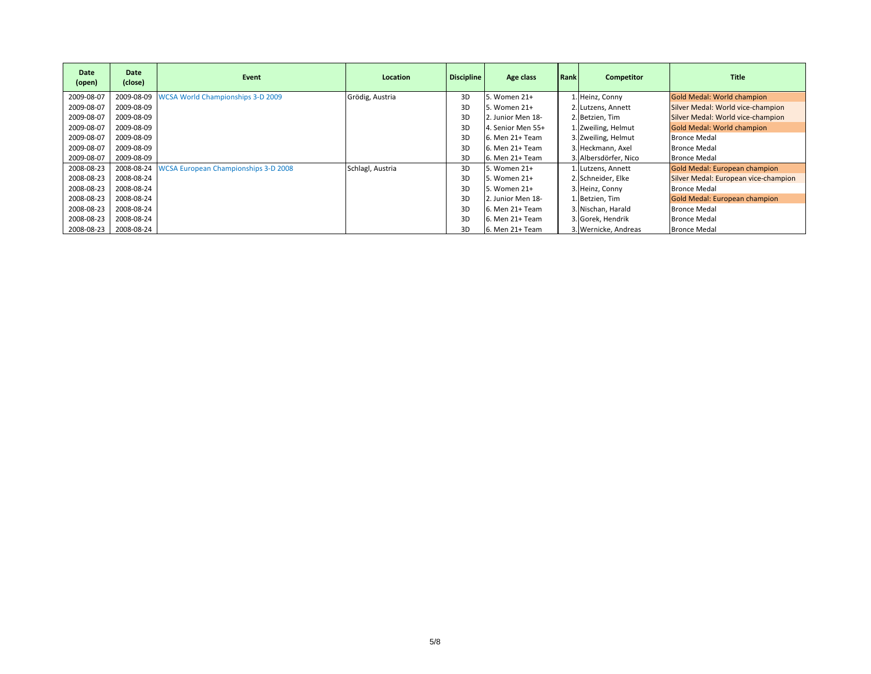| Date<br>(open) | Date<br>(close) | Event                                       | Location         | <b>Discipline</b> | Age class         | Rank | Competitor            | <b>Title</b>                         |
|----------------|-----------------|---------------------------------------------|------------------|-------------------|-------------------|------|-----------------------|--------------------------------------|
| 2009-08-07     | 2009-08-09      | <b>WCSA World Championships 3-D 2009</b>    | Grödig, Austria  | 3D                | . Women 21+       |      | 1. Heinz, Conny       | Gold Medal: World champion           |
| 2009-08-07     | 2009-08-09      |                                             |                  | 3D                | 5. Women 21+      |      | 2. Lutzens, Annett    | Silver Medal: World vice-champion    |
| 2009-08-07     | 2009-08-09      |                                             |                  | 3D                | 2. Junior Men 18- |      | 2. Betzien, Tim       | Silver Medal: World vice-champion    |
| 2009-08-07     | 2009-08-09      |                                             |                  | 3D                | 4. Senior Men 55+ |      | 1. Zweiling, Helmut   | <b>Gold Medal: World champion</b>    |
| 2009-08-07     | 2009-08-09      |                                             |                  | 3D                | 6. Men 21+ Team   |      | 3. Zweiling, Helmut   | <b>Bronce Medal</b>                  |
| 2009-08-07     | 2009-08-09      |                                             |                  | 3D                | 6. Men 21+ Team   |      | 3. Heckmann, Axel     | <b>Bronce Medal</b>                  |
| 2009-08-07     | 2009-08-09      |                                             |                  | 3D                | 6. Men 21+ Team   |      | 3. Albersdörfer, Nico | <b>Bronce Medal</b>                  |
| 2008-08-23     | 2008-08-24      | <b>WCSA European Championships 3-D 2008</b> | Schlagl, Austria | 3D                | 5. Women 21+      |      | 1. Lutzens, Annett    | Gold Medal: European champion        |
| 2008-08-23     | 2008-08-24      |                                             |                  | 3D                | 5. Women 21+      |      | 2. Schneider, Elke    | Silver Medal: European vice-champion |
| 2008-08-23     | 2008-08-24      |                                             |                  | 3D                | 5. Women 21+      |      | 3. Heinz, Conny       | <b>Bronce Medal</b>                  |
| 2008-08-23     | 2008-08-24      |                                             |                  | 3D                | 2. Junior Men 18- |      | 1. Betzien, Tim       | Gold Medal: European champion        |
| 2008-08-23     | 2008-08-24      |                                             |                  | 3D                | 6. Men 21+ Team   |      | 3. Nischan, Harald    | <b>Bronce Medal</b>                  |
| 2008-08-23     | 2008-08-24      |                                             |                  | 3D                | 6. Men 21+ Team   |      | 3. Gorek, Hendrik     | <b>Bronce Medal</b>                  |
| 2008-08-23     | 2008-08-24      |                                             |                  | 3D                | 6. Men 21+ Team   |      | 3. Wernicke, Andreas  | <b>Bronce Medal</b>                  |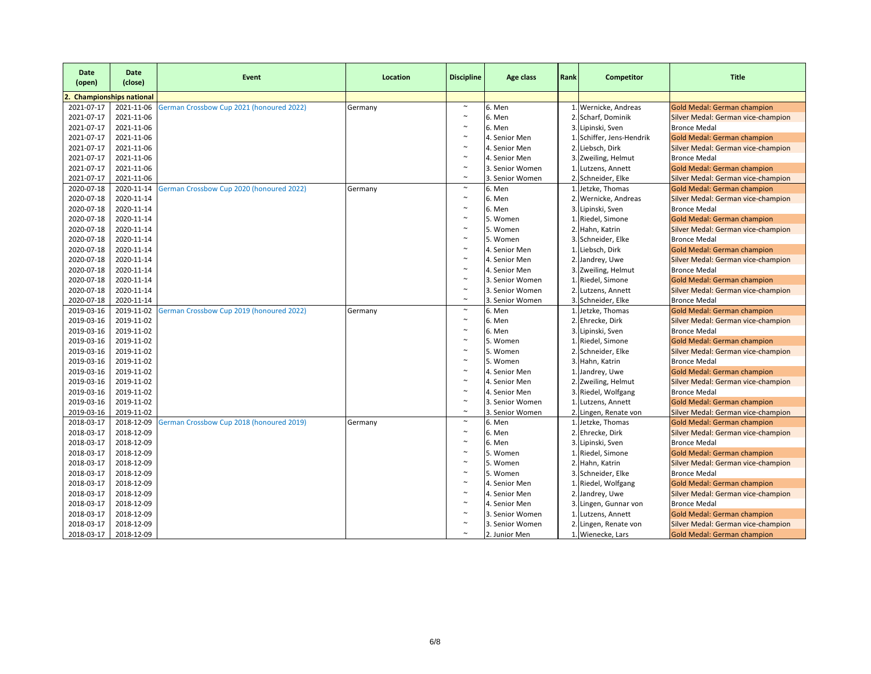| Date<br>(open) | <b>Date</b><br>(close)        | Event                                    | Location | <b>Discipline</b>     | Age class       | Rank | Competitor                | <b>Title</b>                       |
|----------------|-------------------------------|------------------------------------------|----------|-----------------------|-----------------|------|---------------------------|------------------------------------|
|                | <b>Championships national</b> |                                          |          |                       |                 |      |                           |                                    |
| 2021-07-17     | 2021-11-06                    | German Crossbow Cup 2021 (honoured 2022) | Germany  | $\sim$                | 6. Men          |      | 1. Wernicke, Andreas      | <b>Gold Medal: German champion</b> |
| 2021-07-17     | 2021-11-06                    |                                          |          | $\sim$                | 6. Men          |      | 2. Scharf, Dominik        | Silver Medal: German vice-champion |
| 2021-07-17     | 2021-11-06                    |                                          |          | $\sim$                | 6. Men          |      | 3. Lipinski, Sven         | <b>Bronce Medal</b>                |
| 2021-07-17     | 2021-11-06                    |                                          |          | $\tilde{}$            | 4. Senior Men   |      | 1. Schiffer, Jens-Hendrik | <b>Gold Medal: German champion</b> |
| 2021-07-17     | 2021-11-06                    |                                          |          | $\sim$                | 4. Senior Men   |      | 2. Liebsch, Dirk          | Silver Medal: German vice-champion |
| 2021-07-17     | 2021-11-06                    |                                          |          | $\sim$                | 4. Senior Men   |      | 3. Zweiling, Helmut       | <b>Bronce Medal</b>                |
| 2021-07-17     | 2021-11-06                    |                                          |          | $\sim$                | 3. Senior Women |      | 1. Lutzens, Annett        | Gold Medal: German champion        |
| 2021-07-17     | 2021-11-06                    |                                          |          | $\sim$                | 3. Senior Women |      | 2. Schneider, Elke        | Silver Medal: German vice-champion |
| 2020-07-18     | 2020-11-14                    | German Crossbow Cup 2020 (honoured 2022) | Germany  | $\sim$                | 6. Men          |      | 1. Jetzke, Thomas         | Gold Medal: German champion        |
| 2020-07-18     | 2020-11-14                    |                                          |          | $\sim$                | 6. Men          |      | 2. Wernicke, Andreas      | Silver Medal: German vice-champion |
| 2020-07-18     | 2020-11-14                    |                                          |          | $\sim$                | 6. Men          |      | 3. Lipinski, Sven         | <b>Bronce Medal</b>                |
| 2020-07-18     | 2020-11-14                    |                                          |          | $\sim$                | 5. Women        |      | 1. Riedel, Simone         | Gold Medal: German champion        |
| 2020-07-18     | 2020-11-14                    |                                          |          | $\sim$                | 5. Women        |      | 2. Hahn, Katrin           | Silver Medal: German vice-champion |
| 2020-07-18     | 2020-11-14                    |                                          |          | $\sim$                | 5. Women        |      | 3. Schneider, Elke        | <b>Bronce Medal</b>                |
| 2020-07-18     | 2020-11-14                    |                                          |          | $\sim$                | 4. Senior Men   |      | 1. Liebsch, Dirk          | Gold Medal: German champion        |
| 2020-07-18     | 2020-11-14                    |                                          |          | $\sim$                | 4. Senior Men   |      | 2. Jandrey, Uwe           | Silver Medal: German vice-champion |
| 2020-07-18     | 2020-11-14                    |                                          |          | $\sim$                | 4. Senior Men   |      | 3. Zweiling, Helmut       | <b>Bronce Medal</b>                |
| 2020-07-18     | 2020-11-14                    |                                          |          | $\tilde{\phantom{a}}$ | 3. Senior Women |      | 1. Riedel, Simone         | <b>Gold Medal: German champion</b> |
| 2020-07-18     | 2020-11-14                    |                                          |          | $\sim$                | 3. Senior Women |      | 2. Lutzens, Annett        | Silver Medal: German vice-champion |
| 2020-07-18     | 2020-11-14                    |                                          |          | $\tilde{\phantom{a}}$ | 3. Senior Women |      | 3. Schneider, Elke        | <b>Bronce Medal</b>                |
| 2019-03-16     | 2019-11-02                    | German Crossbow Cup 2019 (honoured 2022) | Germany  | $\sim$                | 6. Men          |      | 1. Jetzke, Thomas         | Gold Medal: German champion        |
| 2019-03-16     | 2019-11-02                    |                                          |          | $\sim$                | 6. Men          |      | 2. Ehrecke, Dirk          | Silver Medal: German vice-champion |
| 2019-03-16     | 2019-11-02                    |                                          |          | $\sim$                | 6. Men          |      | 3. Lipinski, Sven         | <b>Bronce Medal</b>                |
| 2019-03-16     | 2019-11-02                    |                                          |          | $\sim$                | 5. Women        |      | 1. Riedel, Simone         | <b>Gold Medal: German champion</b> |
| 2019-03-16     | 2019-11-02                    |                                          |          | $\sim$                | 5. Women        |      | 2. Schneider, Elke        | Silver Medal: German vice-champion |
| 2019-03-16     | 2019-11-02                    |                                          |          | $\sim$                | 5. Women        |      | 3. Hahn, Katrin           | <b>Bronce Medal</b>                |
| 2019-03-16     | 2019-11-02                    |                                          |          | $\sim$                | 4. Senior Men   |      | 1. Jandrey, Uwe           | Gold Medal: German champion        |
| 2019-03-16     | 2019-11-02                    |                                          |          | $\sim$                | 4. Senior Men   |      | 2. Zweiling, Helmut       | Silver Medal: German vice-champion |
| 2019-03-16     | 2019-11-02                    |                                          |          | $\sim$                | 4. Senior Men   |      | 3. Riedel, Wolfgang       | <b>Bronce Medal</b>                |
| 2019-03-16     | 2019-11-02                    |                                          |          | $\sim$                | 3. Senior Women |      | 1. Lutzens, Annett        | Gold Medal: German champion        |
| 2019-03-16     | 2019-11-02                    |                                          |          | $\sim$                | 3. Senior Women |      | 2. Lingen, Renate von     | Silver Medal: German vice-champion |
| 2018-03-17     | 2018-12-09                    | German Crossbow Cup 2018 (honoured 2019) | Germany  | $\sim$                | 6. Men          |      | 1. Jetzke, Thomas         | Gold Medal: German champion        |
| 2018-03-17     | 2018-12-09                    |                                          |          | $\sim$                | 6. Men          |      | 2. Ehrecke, Dirk          | Silver Medal: German vice-champion |
| 2018-03-17     | 2018-12-09                    |                                          |          | $\sim$                | 6. Men          |      | 3. Lipinski, Sven         | <b>Bronce Medal</b>                |
| 2018-03-17     | 2018-12-09                    |                                          |          | $\sim$                | 5. Women        |      | 1. Riedel, Simone         | Gold Medal: German champion        |
| 2018-03-17     | 2018-12-09                    |                                          |          | $\sim$                | 5. Women        |      | 2. Hahn, Katrin           | Silver Medal: German vice-champion |
| 2018-03-17     | 2018-12-09                    |                                          |          | $\sim$                | 5. Women        |      | 3. Schneider, Elke        | <b>Bronce Medal</b>                |
| 2018-03-17     | 2018-12-09                    |                                          |          | $\sim$                | 4. Senior Men   |      | 1. Riedel, Wolfgang       | <b>Gold Medal: German champion</b> |
| 2018-03-17     | 2018-12-09                    |                                          |          | $\sim$                | 4. Senior Men   |      | 2. Jandrey, Uwe           | Silver Medal: German vice-champion |
| 2018-03-17     | 2018-12-09                    |                                          |          | $\sim$                | 4. Senior Men   |      | 3. Lingen, Gunnar von     | <b>Bronce Medal</b>                |
| 2018-03-17     | 2018-12-09                    |                                          |          | $\sim$                | 3. Senior Women |      | 1. Lutzens, Annett        | <b>Gold Medal: German champion</b> |
| 2018-03-17     | 2018-12-09                    |                                          |          | $\sim$                | 3. Senior Women |      | 2. Lingen, Renate von     | Silver Medal: German vice-champion |
| 2018-03-17     | 2018-12-09                    |                                          |          | $\tilde{\phantom{a}}$ | 2. Junior Men   |      | 1. Wienecke, Lars         | <b>Gold Medal: German champion</b> |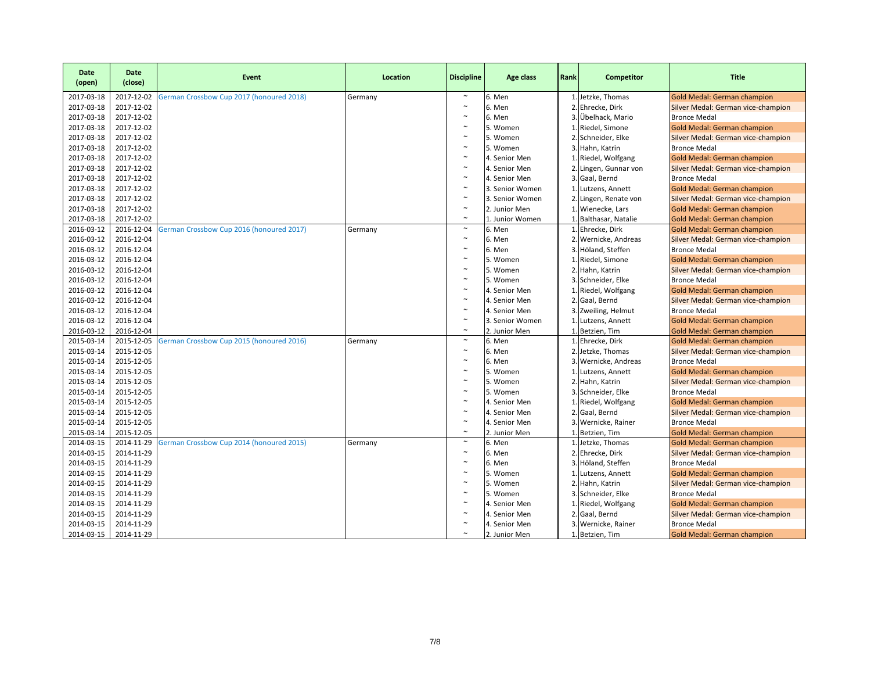| <b>Date</b><br>(open) | <b>Date</b><br>(close) | Event                                    | Location | <b>Discipline</b>     | Age class       | Rank | Competitor            | <b>Title</b>                       |
|-----------------------|------------------------|------------------------------------------|----------|-----------------------|-----------------|------|-----------------------|------------------------------------|
| 2017-03-18            | 2017-12-02             | German Crossbow Cup 2017 (honoured 2018) | Germany  | $\sim$                | 6. Men          |      | 1. Jetzke, Thomas     | <b>Gold Medal: German champion</b> |
| 2017-03-18            | 2017-12-02             |                                          |          | $\sim$                | 6. Men          |      | 2. Ehrecke, Dirk      | Silver Medal: German vice-champion |
| 2017-03-18            | 2017-12-02             |                                          |          | $\sim$                | 6. Men          |      | 3. Übelhack, Mario    | <b>Bronce Medal</b>                |
| 2017-03-18            | 2017-12-02             |                                          |          | $\sim$                | 5. Women        |      | 1. Riedel, Simone     | Gold Medal: German champion        |
| 2017-03-18            | 2017-12-02             |                                          |          | $\sim$                | 5. Women        |      | 2. Schneider, Elke    | Silver Medal: German vice-champion |
| 2017-03-18            | 2017-12-02             |                                          |          | $\sim$                | 5. Women        |      | 3. Hahn, Katrin       | <b>Bronce Medal</b>                |
| 2017-03-18            | 2017-12-02             |                                          |          | $\sim$                | 4. Senior Men   |      | 1. Riedel, Wolfgang   | Gold Medal: German champion        |
| 2017-03-18            | 2017-12-02             |                                          |          | $\sim$                | 4. Senior Men   |      | 2. Lingen, Gunnar von | Silver Medal: German vice-champion |
| 2017-03-18            | 2017-12-02             |                                          |          | $\sim$                | 4. Senior Men   |      | 3. Gaal, Bernd        | <b>Bronce Medal</b>                |
| 2017-03-18            | 2017-12-02             |                                          |          | $\sim$                | 3. Senior Women |      | 1. Lutzens, Annett    | Gold Medal: German champion        |
| 2017-03-18            | 2017-12-02             |                                          |          | $\sim$                | 3. Senior Women |      | 2. Lingen, Renate von | Silver Medal: German vice-champion |
| 2017-03-18            | 2017-12-02             |                                          |          | $\tilde{}$            | 2. Junior Men   |      | 1. Wienecke, Lars     | <b>Gold Medal: German champion</b> |
| 2017-03-18            | 2017-12-02             |                                          |          | $\sim$                | 1. Junior Women |      | 1. Balthasar, Natalie | <b>Gold Medal: German champion</b> |
| 2016-03-12            | 2016-12-04             | German Crossbow Cup 2016 (honoured 2017) | Germany  | $\tilde{}$            | 6. Men          |      | 1. Ehrecke, Dirk      | Gold Medal: German champion        |
| 2016-03-12            | 2016-12-04             |                                          |          | $\sim$                | 6. Men          |      | 2. Wernicke, Andreas  | Silver Medal: German vice-champion |
| 2016-03-12            | 2016-12-04             |                                          |          | $\sim$                | 6. Men          |      | 3. Höland, Steffen    | <b>Bronce Medal</b>                |
| 2016-03-12            | 2016-12-04             |                                          |          | $\sim$                | 5. Women        |      | 1. Riedel, Simone     | <b>Gold Medal: German champion</b> |
| 2016-03-12            | 2016-12-04             |                                          |          | $\sim$                | 5. Women        |      | 2. Hahn, Katrin       | Silver Medal: German vice-champion |
| 2016-03-12            | 2016-12-04             |                                          |          | $\sim$                | 5. Women        |      | 3. Schneider, Elke    | <b>Bronce Medal</b>                |
| 2016-03-12            | 2016-12-04             |                                          |          | $\sim$                | 4. Senior Men   |      | 1. Riedel, Wolfgang   | <b>Gold Medal: German champion</b> |
| 2016-03-12            | 2016-12-04             |                                          |          | $\sim$                | 4. Senior Men   |      | 2. Gaal, Bernd        | Silver Medal: German vice-champion |
| 2016-03-12            | 2016-12-04             |                                          |          | $\sim$                | 4. Senior Men   |      | 3. Zweiling, Helmut   | <b>Bronce Medal</b>                |
| 2016-03-12            | 2016-12-04             |                                          |          | $\sim$                | 3. Senior Women |      | 1. Lutzens, Annett    | Gold Medal: German champion        |
| 2016-03-12            | 2016-12-04             |                                          |          | $\sim$                | 2. Junior Men   |      | 1. Betzien, Tim       | <b>Gold Medal: German champion</b> |
| 2015-03-14            | 2015-12-05             | German Crossbow Cup 2015 (honoured 2016) | Germany  | $\sim$                | 6. Men          |      | 1. Ehrecke, Dirk      | <b>Gold Medal: German champion</b> |
| 2015-03-14            | 2015-12-05             |                                          |          | $\sim$                | 6. Men          |      | 2. Jetzke, Thomas     | Silver Medal: German vice-champion |
| 2015-03-14            | 2015-12-05             |                                          |          | $\sim$                | 6. Men          |      | 3. Wernicke, Andreas  | <b>Bronce Medal</b>                |
| 2015-03-14            | 2015-12-05             |                                          |          | $\sim$                | 5. Women        |      | 1. Lutzens, Annett    | Gold Medal: German champion        |
| 2015-03-14            | 2015-12-05             |                                          |          | $\sim$                | 5. Women        |      | 2. Hahn, Katrin       | Silver Medal: German vice-champion |
| 2015-03-14            | 2015-12-05             |                                          |          | $\sim$                | 5. Women        |      | 3. Schneider, Elke    | <b>Bronce Medal</b>                |
| 2015-03-14            | 2015-12-05             |                                          |          | $\sim$                | 4. Senior Men   |      | 1. Riedel, Wolfgang   | Gold Medal: German champion        |
| 2015-03-14            | 2015-12-05             |                                          |          | $\sim$                | 4. Senior Men   |      | 2. Gaal, Bernd        | Silver Medal: German vice-champion |
| 2015-03-14            | 2015-12-05             |                                          |          | $\sim$                | 4. Senior Men   |      | 3. Wernicke, Rainer   | <b>Bronce Medal</b>                |
| 2015-03-14            | 2015-12-05             |                                          |          | $\sim$                | 2. Junior Men   |      | 1. Betzien, Tim       | <b>Gold Medal: German champion</b> |
| 2014-03-15            | 2014-11-29             | German Crossbow Cup 2014 (honoured 2015) | Germany  | $\sim$                | 6. Men          |      | 1. Jetzke, Thomas     | Gold Medal: German champion        |
| 2014-03-15            | 2014-11-29             |                                          |          | $\sim$                | 6. Men          |      | 2. Ehrecke, Dirk      | Silver Medal: German vice-champion |
| 2014-03-15            | 2014-11-29             |                                          |          | $\sim$                | 6. Men          |      | 3. Höland, Steffen    | <b>Bronce Medal</b>                |
| 2014-03-15            | 2014-11-29             |                                          |          | $\sim$                | 5. Women        |      | 1. Lutzens, Annett    | Gold Medal: German champion        |
| 2014-03-15            | 2014-11-29             |                                          |          | $\sim$                | 5. Women        |      | 2. Hahn, Katrin       | Silver Medal: German vice-champion |
| 2014-03-15            | 2014-11-29             |                                          |          | $\sim$                | 5. Women        |      | 3. Schneider, Elke    | <b>Bronce Medal</b>                |
| 2014-03-15            | 2014-11-29             |                                          |          | $\sim$                | 4. Senior Men   |      | 1. Riedel, Wolfgang   | Gold Medal: German champion        |
| 2014-03-15            | 2014-11-29             |                                          |          | $\sim$                | 4. Senior Men   |      | 2. Gaal, Bernd        | Silver Medal: German vice-champion |
| 2014-03-15            | 2014-11-29             |                                          |          | $\sim$                | 4. Senior Men   |      | 3. Wernicke, Rainer   | <b>Bronce Medal</b>                |
| 2014-03-15            | 2014-11-29             |                                          |          | $\tilde{\phantom{a}}$ | 2. Junior Men   |      | 1. Betzien, Tim       | <b>Gold Medal: German champion</b> |